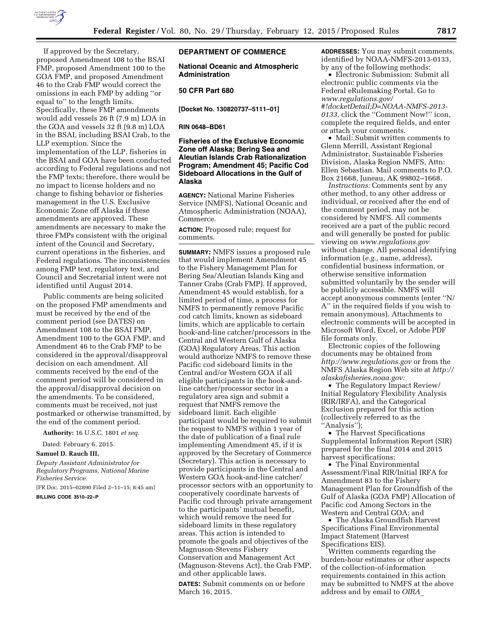

If approved by the Secretary, proposed Amendment 108 to the BSAI FMP, proposed Amendment 100 to the GOA FMP, and proposed Amendment 46 to the Crab FMP would correct the omissions in each FMP by adding ''or equal to'' to the length limits. Specifically, these FMP amendments would add vessels 26 ft (7.9 m) LOA in the GOA and vessels 32 ft (9.8 m) LOA in the BSAI, including BSAI Crab, to the LLP exemption. Since the implementation of the LLP, fisheries in the BSAI and GOA have been conducted according to Federal regulations and not the FMP texts; therefore, there would be no impact to license holders and no change to fishing behavior or fisheries management in the U.S. Exclusive Economic Zone off Alaska if these amendments are approved. These amendments are necessary to make the three FMPs consistent with the original intent of the Council and Secretary, current operations in the fisheries, and Federal regulations. The inconsistencies among FMP text, regulatory text, and Council and Secretarial intent were not identified until August 2014.

Public comments are being solicited on the proposed FMP amendments and must be received by the end of the comment period (see DATES) on Amendment 108 to the BSAI FMP, Amendment 100 to the GOA FMP, and Amendment 46 to the Crab FMP to be considered in the approval/disapproval decision on each amendment. All comments received by the end of the comment period will be considered in the approval/disapproval decision on the amendments. To be considered, comments must be received, not just postmarked or otherwise transmitted, by the end of the comment period.

**Authority:** 16 U.S.C. 1801 *et seq.* 

Dated: February 6, 2015.

#### **Samuel D. Rauch III,**

*Deputy Assistant Administrator for Regulatory Programs, National Marine Fisheries Service.* 

[FR Doc. 2015–02890 Filed 2–11–15; 8:45 am]

**BILLING CODE 3510–22–P** 

## **DEPARTMENT OF COMMERCE**

**National Oceanic and Atmospheric Administration** 

### **50 CFR Part 680**

**[Docket No. 130820737–5111–01]** 

#### **RIN 0648–BD61**

# **Fisheries of the Exclusive Economic Zone off Alaska; Bering Sea and Aleutian Islands Crab Rationalization Program; Amendment 45; Pacific Cod Sideboard Allocations in the Gulf of Alaska**

**AGENCY:** National Marine Fisheries Service (NMFS), National Oceanic and Atmospheric Administration (NOAA), Commerce.

**ACTION:** Proposed rule; request for comments.

**SUMMARY:** NMFS issues a proposed rule that would implement Amendment 45 to the Fishery Management Plan for Bering Sea/Aleutian Islands King and Tanner Crabs (Crab FMP). If approved, Amendment 45 would establish, for a limited period of time, a process for NMFS to permanently remove Pacific cod catch limits, known as sideboard limits, which are applicable to certain hook-and-line catcher/processors in the Central and Western Gulf of Alaska (GOA) Regulatory Areas. This action would authorize NMFS to remove these Pacific cod sideboard limits in the Central and/or Western GOA if all eligible participants in the hook-andline catcher/processor sector in a regulatory area sign and submit a request that NMFS remove the sideboard limit. Each eligible participant would be required to submit the request to NMFS within 1 year of the date of publication of a final rule implementing Amendment 45, if it is approved by the Secretary of Commerce (Secretary). This action is necessary to provide participants in the Central and Western GOA hook-and-line catcher/ processor sectors with an opportunity to cooperatively coordinate harvests of Pacific cod through private arrangement to the participants' mutual benefit, which would remove the need for sideboard limits in these regulatory areas. This action is intended to promote the goals and objectives of the Magnuson-Stevens Fishery Conservation and Management Act (Magnuson-Stevens Act), the Crab FMP, and other applicable laws.

**DATES:** Submit comments on or before March 16, 2015.

**ADDRESSES:** You may submit comments, identified by NOAA-NMFS-2013-0133, by any of the following methods:

• Electronic Submission: Submit all electronic public comments via the Federal eRulemaking Portal. Go to *[www.regulations.gov/](http://www.regulations.gov/#!docketDetail;D=NOAA-NMFS-2013-0133)*

*[#!docketDetail;D=NOAA-NMFS-2013-](http://www.regulations.gov/#!docketDetail;D=NOAA-NMFS-2013-0133) [0133,](http://www.regulations.gov/#!docketDetail;D=NOAA-NMFS-2013-0133)* click the ''Comment Now!'' icon, complete the required fields, and enter or attach your comments.

• Mail: Submit written comments to Glenn Merrill, Assistant Regional Administrator, Sustainable Fisheries Division, Alaska Region NMFS, Attn: Ellen Sebastian. Mail comments to P.O. Box 21668, Juneau, AK 99802–1668.

*Instructions:* Comments sent by any other method, to any other address or individual, or received after the end of the comment period, may not be considered by NMFS. All comments received are a part of the public record and will generally be posted for public viewing on *[www.regulations.gov](http://www.regulations.gov)*  without change. All personal identifying information (*e.g.,* name, address), confidential business information, or otherwise sensitive information submitted voluntarily by the sender will be publicly accessible. NMFS will accept anonymous comments (enter ''N/ A'' in the required fields if you wish to remain anonymous). Attachments to electronic comments will be accepted in Microsoft Word, Excel, or Adobe PDF file formats only.

Electronic copies of the following documents may be obtained from *<http://www.regulations.gov>* or from the NMFS Alaska Region Web site at *[http://](http://alaskafisheries.noaa.gov)  [alaskafisheries.noaa.gov:](http://alaskafisheries.noaa.gov)* 

• The Regulatory Impact Review/ Initial Regulatory Flexibility Analysis (RIR/IRFA), and the Categorical Exclusion prepared for this action (collectively referred to as the ''Analysis'');

• The Harvest Specifications Supplemental Information Report (SIR) prepared for the final 2014 and 2015 harvest specifications;

• The Final Environmental Assessment/Final RIR/Initial IRFA for Amendment 83 to the Fishery Management Plan for Groundfish of the Gulf of Alaska (GOA FMP) Allocation of Pacific cod Among Sectors in the Western and Central GOA; and

• The Alaska Groundfish Harvest Specifications Final Environmental Impact Statement (Harvest Specifications EIS).

Written comments regarding the burden-hour estimates or other aspects of the collection-of-information requirements contained in this action may be submitted to NMFS at the above address and by email to *[OIRA](mailto:OIRA_Submission@omb.eop.gov)*\_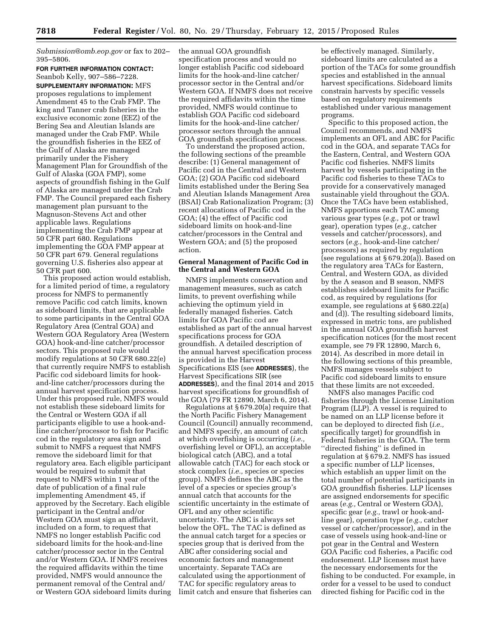*[Submission@omb.eop.gov](mailto:OIRA_Submission@omb.eop.gov)* or fax to 202– 395–5806.

#### **FOR FURTHER INFORMATION CONTACT:**  Seanbob Kelly, 907–586–7228.

**SUPPLEMENTARY INFORMATION:** MFS proposes regulations to implement Amendment 45 to the Crab FMP. The king and Tanner crab fisheries in the exclusive economic zone (EEZ) of the Bering Sea and Aleutian Islands are managed under the Crab FMP. While the groundfish fisheries in the EEZ of the Gulf of Alaska are managed primarily under the Fishery Management Plan for Groundfish of the Gulf of Alaska (GOA FMP), some aspects of groundfish fishing in the Gulf of Alaska are managed under the Crab FMP. The Council prepared each fishery management plan pursuant to the Magnuson-Stevens Act and other applicable laws. Regulations implementing the Crab FMP appear at 50 CFR part 680. Regulations implementing the GOA FMP appear at 50 CFR part 679. General regulations governing U.S. fisheries also appear at 50 CFR part 600.

This proposed action would establish, for a limited period of time, a regulatory process for NMFS to permanently remove Pacific cod catch limits, known as sideboard limits, that are applicable to some participants in the Central GOA Regulatory Area (Central GOA) and Western GOA Regulatory Area (Western GOA) hook-and-line catcher/processor sectors. This proposed rule would modify regulations at 50 CFR 680.22(e) that currently require NMFS to establish Pacific cod sideboard limits for hookand-line catcher/processors during the annual harvest specification process. Under this proposed rule, NMFS would not establish these sideboard limits for the Central or Western GOA if all participants eligible to use a hook-andline catcher/processor to fish for Pacific cod in the regulatory area sign and submit to NMFS a request that NMFS remove the sideboard limit for that regulatory area. Each eligible participant would be required to submit that request to NMFS within 1 year of the date of publication of a final rule implementing Amendment 45, if approved by the Secretary. Each eligible participant in the Central and/or Western GOA must sign an affidavit, included on a form, to request that NMFS no longer establish Pacific cod sideboard limits for the hook-and-line catcher/processor sector in the Central and/or Western GOA. If NMFS receives the required affidavits within the time provided, NMFS would announce the permanent removal of the Central and/ or Western GOA sideboard limits during the annual GOA groundfish specification process and would no longer establish Pacific cod sideboard limits for the hook-and-line catcher/ processor sector in the Central and/or Western GOA. If NMFS does not receive the required affidavits within the time provided, NMFS would continue to establish GOA Pacific cod sideboard limits for the hook-and-line catcher/ processor sectors through the annual GOA groundfish specification process.

To understand the proposed action, the following sections of the preamble describe: (1) General management of Pacific cod in the Central and Western GOA; (2) GOA Pacific cod sideboard limits established under the Bering Sea and Aleutian Islands Management Area (BSAI) Crab Rationalization Program; (3) recent allocations of Pacific cod in the GOA; (4) the effect of Pacific cod sideboard limits on hook-and-line catcher/processors in the Central and Western GOA; and (5) the proposed action.

## **General Management of Pacific Cod in the Central and Western GOA**

NMFS implements conservation and management measures, such as catch limits, to prevent overfishing while achieving the optimum yield in federally managed fisheries. Catch limits for GOA Pacific cod are established as part of the annual harvest specifications process for GOA groundfish. A detailed description of the annual harvest specification process is provided in the Harvest Specifications EIS (see **ADDRESSES**), the Harvest Specifications SIR (see **ADDRESSES**), and the final 2014 and 2015 harvest specifications for groundfish of the GOA (79 FR 12890, March 6, 2014).

Regulations at § 679.20(a) require that the North Pacific Fishery Management Council (Council) annually recommend, and NMFS specify, an amount of catch at which overfishing is occurring (*i.e.,*  overfishing level or OFL), an acceptable biological catch (ABC), and a total allowable catch (TAC) for each stock or stock complex (*i.e.,* species or species group). NMFS defines the ABC as the level of a species or species group's annual catch that accounts for the scientific uncertainty in the estimate of OFL and any other scientific uncertainty. The ABC is always set below the OFL. The TAC is defined as the annual catch target for a species or species group that is derived from the ABC after considering social and economic factors and management uncertainty. Separate TACs are calculated using the apportionment of TAC for specific regulatory areas to limit catch and ensure that fisheries can

be effectively managed. Similarly, sideboard limits are calculated as a portion of the TACs for some groundfish species and established in the annual harvest specifications. Sideboard limits constrain harvests by specific vessels based on regulatory requirements established under various management programs.

Specific to this proposed action, the Council recommends, and NMFS implements an OFL and ABC for Pacific cod in the GOA, and separate TACs for the Eastern, Central, and Western GOA Pacific cod fisheries. NMFS limits harvest by vessels participating in the Pacific cod fisheries to these TACs to provide for a conservatively managed sustainable yield throughout the GOA. Once the TACs have been established, NMFS apportions each TAC among various gear types (*e.g.,* pot or trawl gear), operation types (*e.g.,* catcher vessels and catcher/processors), and sectors (*e.g.,* hook-and-line catcher/ processors) as required by regulation (see regulations at § 679.20(a)). Based on the regulatory area TACs for Eastern, Central, and Western GOA, as divided by the A season and B season, NMFS establishes sideboard limits for Pacific cod, as required by regulations (for example, see regulations at § 680.22(a) and (d)). The resulting sideboard limits, expressed in metric tons, are published in the annual GOA groundfish harvest specification notices (for the most recent example, see 79 FR 12890, March 6, 2014). As described in more detail in the following sections of this preamble, NMFS manages vessels subject to Pacific cod sideboard limits to ensure that these limits are not exceeded.

NMFS also manages Pacific cod fisheries through the License Limitation Program (LLP). A vessel is required to be named on an LLP license before it can be deployed to directed fish (*i.e.,*  specifically target) for groundfish in Federal fisheries in the GOA. The term ''directed fishing'' is defined in regulation at § 679.2. NMFS has issued a specific number of LLP licenses, which establish an upper limit on the total number of potential participants in GOA groundfish fisheries. LLP licenses are assigned endorsements for specific areas (*e.g.,* Central or Western GOA), specific gear (*e.g.,* trawl or hook-andline gear), operation type (*e.g.,* catcher vessel or catcher/processor), and in the case of vessels using hook-and-line or pot gear in the Central and Western GOA Pacific cod fisheries, a Pacific cod endorsement. LLP licenses must have the necessary endorsements for the fishing to be conducted. For example, in order for a vessel to be used to conduct directed fishing for Pacific cod in the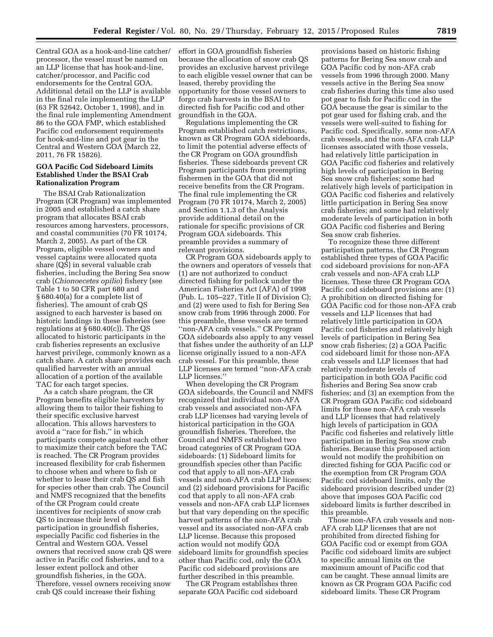Central GOA as a hook-and-line catcher/ processor, the vessel must be named on an LLP license that has hook-and-line, catcher/processor, and Pacific cod endorsements for the Central GOA. Additional detail on the LLP is available in the final rule implementing the LLP (63 FR 52642, October 1, 1998), and in the final rule implementing Amendment 86 to the GOA FMP, which established Pacific cod endorsement requirements for hook-and-line and pot gear in the Central and Western GOA (March 22, 2011, 76 FR 15826).

### **GOA Pacific Cod Sideboard Limits Established Under the BSAI Crab Rationalization Program**

The BSAI Crab Rationalization Program (CR Program) was implemented in 2005 and established a catch share program that allocates BSAI crab resources among harvesters, processors, and coastal communities (70 FR 10174, March 2, 2005). As part of the CR Program, eligible vessel owners and vessel captains were allocated quota share (QS) in several valuable crab fisheries, including the Bering Sea snow crab (*Chionoecetes opilio*) fishery (see Table 1 to 50 CFR part 680 and § 680.40(a) for a complete list of fisheries). The amount of crab QS assigned to each harvester is based on historic landings in these fisheries (see regulations at § 680.40(c)). The QS allocated to historic participants in the crab fisheries represents an exclusive harvest privilege, commonly known as a catch share. A catch share provides each qualified harvester with an annual allocation of a portion of the available TAC for each target species.

As a catch share program, the CR Program benefits eligible harvesters by allowing them to tailor their fishing to their specific exclusive harvest allocation. This allows harvesters to avoid a ''race for fish,'' in which participants compete against each other to maximize their catch before the TAC is reached. The CR Program provides increased flexibility for crab fishermen to choose when and where to fish or whether to lease their crab QS and fish for species other than crab. The Council and NMFS recognized that the benefits of the CR Program could create incentives for recipients of snow crab QS to increase their level of participation in groundfish fisheries, especially Pacific cod fisheries in the Central and Western GOA. Vessel owners that received snow crab QS were active in Pacific cod fisheries, and to a lesser extent pollock and other groundfish fisheries, in the GOA. Therefore, vessel owners receiving snow crab QS could increase their fishing

effort in GOA groundfish fisheries because the allocation of snow crab QS provides an exclusive harvest privilege to each eligible vessel owner that can be leased, thereby providing the opportunity for those vessel owners to forgo crab harvests in the BSAI to directed fish for Pacific cod and other groundfish in the GOA.

Regulations implementing the CR Program established catch restrictions, known as CR Program GOA sideboards, to limit the potential adverse effects of the CR Program on GOA groundfish fisheries. These sideboards prevent CR Program participants from preempting fishermen in the GOA that did not receive benefits from the CR Program. The final rule implementing the CR Program (70 FR 10174, March 2, 2005) and Section 1.1.3 of the Analysis provide additional detail on the rationale for specific provisions of CR Program GOA sideboards. This preamble provides a summary of relevant provisions.

CR Program GOA sideboards apply to the owners and operators of vessels that (1) are not authorized to conduct directed fishing for pollock under the American Fisheries Act (AFA) of 1998 (Pub. L. 105–227, Title II of Division C); and (2) were used to fish for Bering Sea snow crab from 1996 through 2000. For this preamble, these vessels are termed ''non-AFA crab vessels.'' CR Program GOA sideboards also apply to any vessel that fishes under the authority of an LLP license originally issued to a non-AFA crab vessel. For this preamble, these LLP licenses are termed ''non-AFA crab LLP licenses.''

When developing the CR Program GOA sideboards, the Council and NMFS recognized that individual non-AFA crab vessels and associated non-AFA crab LLP licenses had varying levels of historical participation in the GOA groundfish fisheries. Therefore, the Council and NMFS established two broad categories of CR Program GOA sideboards: (1) Sideboard limits for groundfish species other than Pacific cod that apply to all non-AFA crab vessels and non-AFA crab LLP licenses; and (2) sideboard provisions for Pacific cod that apply to all non-AFA crab vessels and non-AFA crab LLP licenses but that vary depending on the specific harvest patterns of the non-AFA crab vessel and its associated non-AFA crab LLP license. Because this proposed action would not modify GOA sideboard limits for groundfish species other than Pacific cod, only the GOA Pacific cod sideboard provisions are further described in this preamble.

The CR Program establishes three separate GOA Pacific cod sideboard

provisions based on historic fishing patterns for Bering Sea snow crab and GOA Pacific cod by non-AFA crab vessels from 1996 through 2000. Many vessels active in the Bering Sea snow crab fisheries during this time also used pot gear to fish for Pacific cod in the GOA because the gear is similar to the pot gear used for fishing crab, and the vessels were well-suited to fishing for Pacific cod. Specifically, some non-AFA crab vessels, and the non-AFA crab LLP licenses associated with those vessels, had relatively little participation in GOA Pacific cod fisheries and relatively high levels of participation in Bering Sea snow crab fisheries; some had relatively high levels of participation in GOA Pacific cod fisheries and relatively little participation in Bering Sea snow crab fisheries; and some had relatively moderate levels of participation in both GOA Pacific cod fisheries and Bering Sea snow crab fisheries.

To recognize these three different participation patterns, the CR Program established three types of GOA Pacific cod sideboard provisions for non-AFA crab vessels and non-AFA crab LLP licenses. These three CR Program GOA Pacific cod sideboard provisions are: (1) A prohibition on directed fishing for GOA Pacific cod for those non-AFA crab vessels and LLP licenses that had relatively little participation in GOA Pacific cod fisheries and relatively high levels of participation in Bering Sea snow crab fisheries; (2) a GOA Pacific cod sideboard limit for those non-AFA crab vessels and LLP licenses that had relatively moderate levels of participation in both GOA Pacific cod fisheries and Bering Sea snow crab fisheries; and (3) an exemption from the CR Program GOA Pacific cod sideboard limits for those non-AFA crab vessels and LLP licenses that had relatively high levels of participation in GOA Pacific cod fisheries and relatively little participation in Bering Sea snow crab fisheries. Because this proposed action would not modify the prohibition on directed fishing for GOA Pacific cod or the exemption from CR Program GOA Pacific cod sideboard limits, only the sideboard provision described under (2) above that imposes GOA Pacific cod sideboard limits is further described in this preamble.

Those non-AFA crab vessels and non-AFA crab LLP licenses that are not prohibited from directed fishing for GOA Pacific cod or exempt from GOA Pacific cod sideboard limits are subject to specific annual limits on the maximum amount of Pacific cod that can be caught. These annual limits are known as CR Program GOA Pacific cod sideboard limits. These CR Program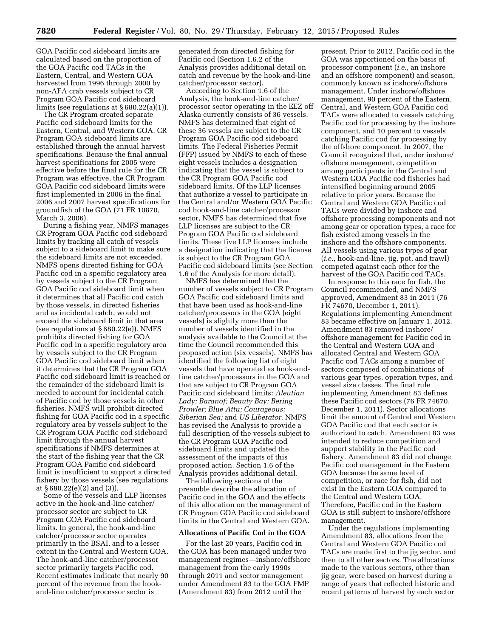GOA Pacific cod sideboard limits are calculated based on the proportion of the GOA Pacific cod TACs in the Eastern, Central, and Western GOA harvested from 1996 through 2000 by non-AFA crab vessels subject to CR Program GOA Pacific cod sideboard limits (see regulations at § 680.22(a)(1)).

The CR Program created separate Pacific cod sideboard limits for the Eastern, Central, and Western GOA. CR Program GOA sideboard limits are established through the annual harvest specifications. Because the final annual harvest specifications for 2005 were effective before the final rule for the CR Program was effective, the CR Program GOA Pacific cod sideboard limits were first implemented in 2006 in the final 2006 and 2007 harvest specifications for groundfish of the GOA (71 FR 10870, March 3, 2006).

During a fishing year, NMFS manages CR Program GOA Pacific cod sideboard limits by tracking all catch of vessels subject to a sideboard limit to make sure the sideboard limits are not exceeded. NMFS opens directed fishing for GOA Pacific cod in a specific regulatory area by vessels subject to the CR Program GOA Pacific cod sideboard limit when it determines that all Pacific cod catch by those vessels, in directed fisheries and as incidental catch, would not exceed the sideboard limit in that area (see regulations at § 680.22(e)). NMFS prohibits directed fishing for GOA Pacific cod in a specific regulatory area by vessels subject to the CR Program GOA Pacific cod sideboard limit when it determines that the CR Program GOA Pacific cod sideboard limit is reached or the remainder of the sideboard limit is needed to account for incidental catch of Pacific cod by those vessels in other fisheries. NMFS will prohibit directed fishing for GOA Pacific cod in a specific regulatory area by vessels subject to the CR Program GOA Pacific cod sideboard limit through the annual harvest specifications if NMFS determines at the start of the fishing year that the CR Program GOA Pacific cod sideboard limit is insufficient to support a directed fishery by those vessels (see regulations at § 680.22(e)(2) and (3)).

Some of the vessels and LLP licenses active in the hook-and-line catcher/ processor sector are subject to CR Program GOA Pacific cod sideboard limits. In general, the hook-and-line catcher/processor sector operates primarily in the BSAI, and to a lesser extent in the Central and Western GOA. The hook-and-line catcher/processor sector primarily targets Pacific cod. Recent estimates indicate that nearly 90 percent of the revenue from the hookand-line catcher/processor sector is

generated from directed fishing for Pacific cod (Section 1.6.2 of the Analysis provides additional detail on catch and revenue by the hook-and-line catcher/processor sector).

According to Section 1.6 of the Analysis, the hook-and-line catcher/ processor sector operating in the EEZ off Alaska currently consists of 36 vessels. NMFS has determined that eight of these 36 vessels are subject to the CR Program GOA Pacific cod sideboard limits. The Federal Fisheries Permit (FFP) issued by NMFS to each of these eight vessels includes a designation indicating that the vessel is subject to the CR Program GOA Pacific cod sideboard limits. Of the LLP licenses that authorize a vessel to participate in the Central and/or Western GOA Pacific cod hook-and-line catcher/processor sector, NMFS has determined that five LLP licenses are subject to the CR Program GOA Pacific cod sideboard limits. These five LLP licenses include a designation indicating that the license is subject to the CR Program GOA Pacific cod sideboard limits (see Section 1.6 of the Analysis for more detail).

NMFS has determined that the number of vessels subject to CR Program GOA Pacific cod sideboard limits and that have been used as hook-and-line catcher/processors in the GOA (eight vessels) is slightly more than the number of vessels identified in the analysis available to the Council at the time the Council recommended this proposed action (six vessels). NMFS has identified the following list of eight vessels that have operated as hook-andline catcher/processors in the GOA and that are subject to CR Program GOA Pacific cod sideboard limits: *Aleutian Lady; Baranof; Beauty Bay; Bering Prowler; Blue Attu; Courageous; Siberian Sea;* and *US Liberator.* NMFS has revised the Analysis to provide a full description of the vessels subject to the CR Program GOA Pacific cod sideboard limits and updated the assessment of the impacts of this proposed action. Section 1.6 of the Analysis provides additional detail.

The following sections of the preamble describe the allocation of Pacific cod in the GOA and the effects of this allocation on the management of CR Program GOA Pacific cod sideboard limits in the Central and Western GOA.

## **Allocations of Pacific Cod in the GOA**

For the last 20 years, Pacific cod in the GOA has been managed under two management regimes—inshore/offshore management from the early 1990s through 2011 and sector management under Amendment 83 to the GOA FMP (Amendment 83) from 2012 until the

present. Prior to 2012, Pacific cod in the GOA was apportioned on the basis of processor component (*i.e.,* an inshore and an offshore component) and season, commonly known as inshore/offshore management. Under inshore/offshore management, 90 percent of the Eastern, Central, and Western GOA Pacific cod TACs were allocated to vessels catching Pacific cod for processing by the inshore component, and 10 percent to vessels catching Pacific cod for processing by the offshore component. In 2007, the Council recognized that, under inshore/ offshore management, competition among participants in the Central and Western GOA Pacific cod fisheries had intensified beginning around 2005 relative to prior years. Because the Central and Western GOA Pacific cod TACs were divided by inshore and offshore processing components and not among gear or operation types, a race for fish existed among vessels in the inshore and the offshore components. All vessels using various types of gear (*i.e.,* hook-and-line, jig, pot, and trawl) competed against each other for the harvest of the GOA Pacific cod TACs.

In response to this race for fish, the Council recommended, and NMFS approved, Amendment 83 in 2011 (76 FR 74670, December 1, 2011). Regulations implementing Amendment 83 became effective on January 1, 2012. Amendment 83 removed inshore/ offshore management for Pacific cod in the Central and Western GOA and allocated Central and Western GOA Pacific cod TACs among a number of sectors composed of combinations of various gear types, operation types, and vessel size classes. The final rule implementing Amendment 83 defines these Pacific cod sectors (76 FR 74670, December 1, 2011). Sector allocations limit the amount of Central and Western GOA Pacific cod that each sector is authorized to catch. Amendment 83 was intended to reduce competition and support stability in the Pacific cod fishery. Amendment 83 did not change Pacific cod management in the Eastern GOA because the same level of competition, or race for fish, did not exist in the Eastern GOA compared to the Central and Western GOA. Therefore, Pacific cod in the Eastern GOA is still subject to inshore/offshore management.

Under the regulations implementing Amendment 83, allocations from the Central and Western GOA Pacific cod TACs are made first to the jig sector, and then to all other sectors. The allocations made to the various sectors, other than jig gear, were based on harvest during a range of years that reflected historic and recent patterns of harvest by each sector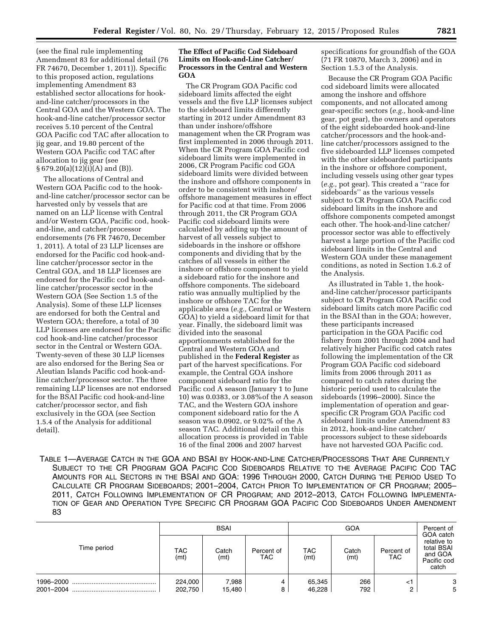(see the final rule implementing Amendment 83 for additional detail (76 FR 74670, December 1, 2011)). Specific to this proposed action, regulations implementing Amendment 83 established sector allocations for hookand-line catcher/processors in the Central GOA and the Western GOA. The hook-and-line catcher/processor sector receives 5.10 percent of the Central GOA Pacific cod TAC after allocation to jig gear, and 19.80 percent of the Western GOA Pacific cod TAC after allocation to jig gear (see § 679.20(a)(12)(i)(A) and (B)).

The allocations of Central and Western GOA Pacific cod to the hookand-line catcher/processor sector can be harvested only by vessels that are named on an LLP license with Central and/or Western GOA, Pacific cod, hookand-line, and catcher/processor endorsements (76 FR 74670, December 1, 2011). A total of 23 LLP licenses are endorsed for the Pacific cod hook-andline catcher/processor sector in the Central GOA, and 18 LLP licenses are endorsed for the Pacific cod hook-andline catcher/processor sector in the Western GOA (See Section 1.5 of the Analysis). Some of these LLP licenses are endorsed for both the Central and Western GOA; therefore, a total of 30 LLP licenses are endorsed for the Pacific cod hook-and-line catcher/processor sector in the Central or Western GOA. Twenty-seven of these 30 LLP licenses are also endorsed for the Bering Sea or Aleutian Islands Pacific cod hook-andline catcher/processor sector. The three remaining LLP licenses are not endorsed for the BSAI Pacific cod hook-and-line catcher/processor sector, and fish exclusively in the GOA (see Section 1.5.4 of the Analysis for additional detail).

## **The Effect of Pacific Cod Sideboard Limits on Hook-and-Line Catcher/ Processors in the Central and Western GOA**

The CR Program GOA Pacific cod sideboard limits affected the eight vessels and the five LLP licenses subject to the sideboard limits differently starting in 2012 under Amendment 83 than under inshore/offshore management when the CR Program was first implemented in 2006 through 2011. When the CR Program GOA Pacific cod sideboard limits were implemented in 2006, CR Program Pacific cod GOA sideboard limits were divided between the inshore and offshore components in order to be consistent with inshore/ offshore management measures in effect for Pacific cod at that time. From 2006 through 2011, the CR Program GOA Pacific cod sideboard limits were calculated by adding up the amount of harvest of all vessels subject to sideboards in the inshore or offshore components and dividing that by the catches of all vessels in either the inshore or offshore component to yield a sideboard ratio for the inshore and offshore components. The sideboard ratio was annually multiplied by the inshore or offshore TAC for the applicable area (*e.g.,* Central or Western GOA) to yield a sideboard limit for that year. Finally, the sideboard limit was divided into the seasonal apportionments established for the Central and Western GOA and published in the **Federal Register** as part of the harvest specifications. For example, the Central GOA inshore component sideboard ratio for the Pacific cod A season (January 1 to June 10) was 0.0383, or 3.08%of the A season TAC, and the Western GOA inshore component sideboard ratio for the A season was 0.0902, or 9.02% of the A season TAC. Additional detail on this allocation process is provided in Table 16 of the final 2006 and 2007 harvest

specifications for groundfish of the GOA (71 FR 10870, March 3, 2006) and in Section 1.5.3 of the Analysis.

Because the CR Program GOA Pacific cod sideboard limits were allocated among the inshore and offshore components, and not allocated among gear-specific sectors (*e.g.,* hook-and-line gear, pot gear), the owners and operators of the eight sideboarded hook-and-line catcher/processors and the hook-andline catcher/processors assigned to the five sideboarded LLP licenses competed with the other sideboarded participants in the inshore or offshore component, including vessels using other gear types (*e.g.,* pot gear). This created a ''race for sideboards'' as the various vessels subject to CR Program GOA Pacific cod sideboard limits in the inshore and offshore components competed amongst each other. The hook-and-line catcher/ processor sector was able to effectively harvest a large portion of the Pacific cod sideboard limits in the Central and Western GOA under these management conditions, as noted in Section 1.6.2 of the Analysis.

As illustrated in Table 1, the hookand-line catcher/processor participants subject to CR Program GOA Pacific cod sideboard limits catch more Pacific cod in the BSAI than in the GOA; however, these participants increased participation in the GOA Pacific cod fishery from 2001 through 2004 and had relatively higher Pacific cod catch rates following the implementation of the CR Program GOA Pacific cod sideboard limits from 2006 through 2011 as compared to catch rates during the historic period used to calculate the sideboards (1996–2000). Since the implementation of operation and gearspecific CR Program GOA Pacific cod sideboard limits under Amendment 83 in 2012, hook-and-line catcher/ processors subject to these sideboards have not harvested GOA Pacific cod.

TABLE 1—AVERAGE CATCH IN THE GOA AND BSAI BY HOOK-AND-LINE CATCHER/PROCESSORS THAT ARE CURRENTLY SUBJECT TO THE CR PROGRAM GOA PACIFIC COD SIDEBOARDS RELATIVE TO THE AVERAGE PACIFIC COD TAC AMOUNTS FOR ALL SECTORS IN THE BSAI AND GOA: 1996 THROUGH 2000, CATCH DURING THE PERIOD USED TO CALCULATE CR PROGRAM SIDEBOARDS; 2001–2004, CATCH PRIOR TO IMPLEMENTATION OF CR PROGRAM; 2005– 2011, CATCH FOLLOWING IMPLEMENTATION OF CR PROGRAM; AND 2012–2013, CATCH FOLLOWING IMPLEMENTA-TION OF GEAR AND OPERATION TYPE SPECIFIC CR PROGRAM GOA PACIFIC COD SIDEBOARDS UNDER AMENDMENT 83

|                        | <b>BSAI</b>        |                 |                    |                    | Percent of<br>GOA catch |                     |                                                              |
|------------------------|--------------------|-----------------|--------------------|--------------------|-------------------------|---------------------|--------------------------------------------------------------|
| Time period            | TAC.<br>(mt)       | Catch<br>(mt)   | Percent of<br>TAC. | <b>TAC</b><br>(mt) | Catch<br>(mt)           | Percent of<br>TAC . | relative to<br>total BSAI<br>and GOA<br>Pacific cod<br>catch |
| 1996-2000<br>2001-2004 | 224.000<br>202,750 | 7,988<br>15,480 | 4<br>8             | 65,345<br>46,228   | 266<br>792.             | $\leq$              | 3<br>5                                                       |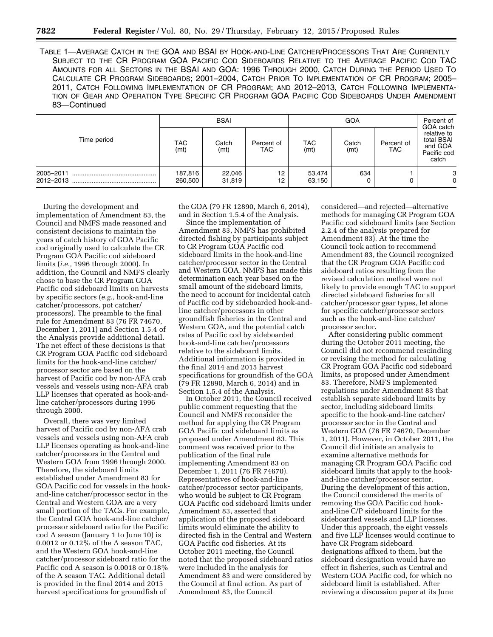TABLE 1—AVERAGE CATCH IN THE GOA AND BSAI BY HOOK-AND-LINE CATCHER/PROCESSORS THAT ARE CURRENTLY SUBJECT TO THE CR PROGRAM GOA PACIFIC COD SIDEBOARDS RELATIVE TO THE AVERAGE PACIFIC COD TAC AMOUNTS FOR ALL SECTORS IN THE BSAI AND GOA: 1996 THROUGH 2000, CATCH DURING THE PERIOD USED TO CALCULATE CR PROGRAM SIDEBOARDS; 2001–2004, CATCH PRIOR TO IMPLEMENTATION OF CR PROGRAM; 2005– 2011, CATCH FOLLOWING IMPLEMENTATION OF CR PROGRAM; AND 2012–2013, CATCH FOLLOWING IMPLEMENTA-TION OF GEAR AND OPERATION TYPE SPECIFIC CR PROGRAM GOA PACIFIC COD SIDEBOARDS UNDER AMENDMENT 83—Continued

|                        | <b>BSAI</b>        |                  |                          | GOA                |               |                    | Percent of<br>GOA catch                                      |
|------------------------|--------------------|------------------|--------------------------|--------------------|---------------|--------------------|--------------------------------------------------------------|
| Time period            | TAC<br>(mt)        | Catch<br>(mt)    | Percent of<br><b>TAC</b> | <b>TAC</b><br>(mt) | Catch<br>(mt) | Percent of<br>TAC. | relative to<br>total BSAI<br>and GOA<br>Pacific cod<br>catch |
| 2005-2011<br>2012-2013 | 187,816<br>260,500 | 22,046<br>31,819 | 12<br>12                 | 53,474<br>63,150   | 634           |                    | 3<br>0                                                       |

During the development and implementation of Amendment 83, the Council and NMFS made reasoned and consistent decisions to maintain the years of catch history of GOA Pacific cod originally used to calculate the CR Program GOA Pacific cod sideboard limits (*i.e.,* 1996 through 2000). In addition, the Council and NMFS clearly chose to base the CR Program GOA Pacific cod sideboard limits on harvests by specific sectors (*e.g.,* hook-and-line catcher/processors, pot catcher/ processors). The preamble to the final rule for Amendment 83 (76 FR 74670, December 1, 2011) and Section 1.5.4 of the Analysis provide additional detail. The net effect of these decisions is that CR Program GOA Pacific cod sideboard limits for the hook-and-line catcher/ processor sector are based on the harvest of Pacific cod by non-AFA crab vessels and vessels using non-AFA crab LLP licenses that operated as hook-andline catcher/processors during 1996 through 2000.

Overall, there was very limited harvest of Pacific cod by non-AFA crab vessels and vessels using non-AFA crab LLP licenses operating as hook-and-line catcher/processors in the Central and Western GOA from 1996 through 2000. Therefore, the sideboard limits established under Amendment 83 for GOA Pacific cod for vessels in the hookand-line catcher/processor sector in the Central and Western GOA are a very small portion of the TACs. For example, the Central GOA hook-and-line catcher/ processor sideboard ratio for the Pacific cod A season (January 1 to June 10) is 0.0012 or 0.12% of the A season TAC, and the Western GOA hook-and-line catcher/processor sideboard ratio for the Pacific cod A season is 0.0018 or 0.18% of the A season TAC. Additional detail is provided in the final 2014 and 2015 harvest specifications for groundfish of

the GOA (79 FR 12890, March 6, 2014), and in Section 1.5.4 of the Analysis.

Since the implementation of Amendment 83, NMFS has prohibited directed fishing by participants subject to CR Program GOA Pacific cod sideboard limits in the hook-and-line catcher/processor sector in the Central and Western GOA. NMFS has made this determination each year based on the small amount of the sideboard limits, the need to account for incidental catch of Pacific cod by sideboarded hook-andline catcher/processors in other groundfish fisheries in the Central and Western GOA, and the potential catch rates of Pacific cod by sideboarded hook-and-line catcher/processors relative to the sideboard limits. Additional information is provided in the final 2014 and 2015 harvest specifications for groundfish of the GOA (79 FR 12890, March 6, 2014) and in Section 1.5.4 of the Analysis.

In October 2011, the Council received public comment requesting that the Council and NMFS reconsider the method for applying the CR Program GOA Pacific cod sideboard limits as proposed under Amendment 83. This comment was received prior to the publication of the final rule implementing Amendment 83 on December 1, 2011 (76 FR 74670). Representatives of hook-and-line catcher/processor sector participants, who would be subject to CR Program GOA Pacific cod sideboard limits under Amendment 83, asserted that application of the proposed sideboard limits would eliminate the ability to directed fish in the Central and Western GOA Pacific cod fisheries. At its October 2011 meeting, the Council noted that the proposed sideboard ratios were included in the analysis for Amendment 83 and were considered by the Council at final action. As part of Amendment 83, the Council

considered—and rejected—alternative methods for managing CR Program GOA Pacific cod sideboard limits (see Section 2.2.4 of the analysis prepared for Amendment 83). At the time the Council took action to recommend Amendment 83, the Council recognized that the CR Program GOA Pacific cod sideboard ratios resulting from the revised calculation method were not likely to provide enough TAC to support directed sideboard fisheries for all catcher/processor gear types, let alone for specific catcher/processor sectors such as the hook-and-line catcher/ processor sector.

After considering public comment during the October 2011 meeting, the Council did not recommend rescinding or revising the method for calculating CR Program GOA Pacific cod sideboard limits, as proposed under Amendment 83. Therefore, NMFS implemented regulations under Amendment 83 that establish separate sideboard limits by sector, including sideboard limits specific to the hook-and-line catcher/ processor sector in the Central and Western GOA (76 FR 74670, December 1, 2011). However, in October 2011, the Council did initiate an analysis to examine alternative methods for managing CR Program GOA Pacific cod sideboard limits that apply to the hookand-line catcher/processor sector. During the development of this action, the Council considered the merits of removing the GOA Pacific cod hookand-line C/P sideboard limits for the sideboarded vessels and LLP licenses. Under this approach, the eight vessels and five LLP licenses would continue to have CR Program sideboard designations affixed to them, but the sideboard designation would have no effect in fisheries, such as Central and Western GOA Pacific cod, for which no sideboard limit is established. After reviewing a discussion paper at its June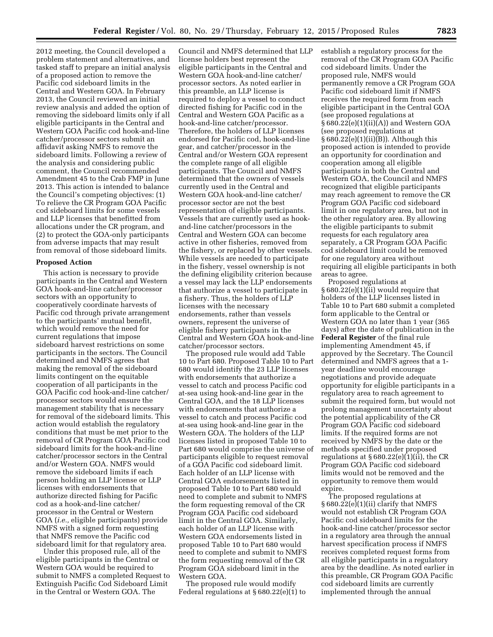2012 meeting, the Council developed a problem statement and alternatives, and tasked staff to prepare an initial analysis of a proposed action to remove the Pacific cod sideboard limits in the Central and Western GOA. In February 2013, the Council reviewed an initial review analysis and added the option of removing the sideboard limits only if all eligible participants in the Central and Western GOA Pacific cod hook-and-line catcher/processor sectors submit an affidavit asking NMFS to remove the sideboard limits. Following a review of the analysis and considering public comment, the Council recommended Amendment 45 to the Crab FMP in June 2013. This action is intended to balance the Council's competing objectives: (1) To relieve the CR Program GOA Pacific cod sideboard limits for some vessels and LLP licenses that benefitted from allocations under the CR program, and (2) to protect the GOA-only participants from adverse impacts that may result from removal of those sideboard limits.

#### **Proposed Action**

This action is necessary to provide participants in the Central and Western GOA hook-and-line catcher/processor sectors with an opportunity to cooperatively coordinate harvests of Pacific cod through private arrangement to the participants' mutual benefit, which would remove the need for current regulations that impose sideboard harvest restrictions on some participants in the sectors. The Council determined and NMFS agrees that making the removal of the sideboard limits contingent on the equitable cooperation of all participants in the GOA Pacific cod hook-and-line catcher/ processor sectors would ensure the management stability that is necessary for removal of the sideboard limits. This action would establish the regulatory conditions that must be met prior to the removal of CR Program GOA Pacific cod sideboard limits for the hook-and-line catcher/processor sectors in the Central and/or Western GOA. NMFS would remove the sideboard limits if each person holding an LLP license or LLP licenses with endorsements that authorize directed fishing for Pacific cod as a hook-and-line catcher/ processor in the Central or Western GOA (*i.e.,* eligible participants) provide NMFS with a signed form requesting that NMFS remove the Pacific cod sideboard limit for that regulatory area.

Under this proposed rule, all of the eligible participants in the Central or Western GOA would be required to submit to NMFS a completed Request to Extinguish Pacific Cod Sideboard Limit in the Central or Western GOA. The

Council and NMFS determined that LLP license holders best represent the eligible participants in the Central and Western GOA hook-and-line catcher/ processor sectors. As noted earlier in this preamble, an LLP license is required to deploy a vessel to conduct directed fishing for Pacific cod in the Central and Western GOA Pacific as a hook-and-line catcher/processor. Therefore, the holders of LLP licenses endorsed for Pacific cod, hook-and-line gear, and catcher/processor in the Central and/or Western GOA represent the complete range of all eligible participants. The Council and NMFS determined that the owners of vessels currently used in the Central and Western GOA hook-and-line catcher/ processor sector are not the best representation of eligible participants. Vessels that are currently used as hookand-line catcher/processors in the Central and Western GOA can become active in other fisheries, removed from the fishery, or replaced by other vessels. While vessels are needed to participate in the fishery, vessel ownership is not the defining eligibility criterion because a vessel may lack the LLP endorsements that authorize a vessel to participate in a fishery. Thus, the holders of LLP licenses with the necessary endorsements, rather than vessels owners, represent the universe of eligible fishery participants in the Central and Western GOA hook-and-line catcher/processor sectors.

The proposed rule would add Table 10 to Part 680. Proposed Table 10 to Part 680 would identify the 23 LLP licenses with endorsements that authorize a vessel to catch and process Pacific cod at-sea using hook-and-line gear in the Central GOA, and the 18 LLP licenses with endorsements that authorize a vessel to catch and process Pacific cod at-sea using hook-and-line gear in the Western GOA. The holders of the LLP licenses listed in proposed Table 10 to Part 680 would comprise the universe of participants eligible to request removal of a GOA Pacific cod sideboard limit. Each holder of an LLP license with Central GOA endorsements listed in proposed Table 10 to Part 680 would need to complete and submit to NMFS the form requesting removal of the CR Program GOA Pacific cod sideboard limit in the Central GOA. Similarly, each holder of an LLP license with Western GOA endorsements listed in proposed Table 10 to Part 680 would need to complete and submit to NMFS the form requesting removal of the CR Program GOA sideboard limit in the Western GOA.

The proposed rule would modify Federal regulations at § 680.22(e)(1) to establish a regulatory process for the removal of the CR Program GOA Pacific cod sideboard limits. Under the proposed rule, NMFS would permanently remove a CR Program GOA Pacific cod sideboard limit if NMFS receives the required form from each eligible participant in the Central GOA (see proposed regulations at § 680.22(e)(1)(ii)(A)) and Western GOA (see proposed regulations at § 680.22(e)(1)(ii)(B)). Although this proposed action is intended to provide an opportunity for coordination and cooperation among all eligible participants in both the Central and Western GOA, the Council and NMFS recognized that eligible participants may reach agreement to remove the CR Program GOA Pacific cod sideboard limit in one regulatory area, but not in the other regulatory area. By allowing the eligible participants to submit requests for each regulatory area separately, a CR Program GOA Pacific cod sideboard limit could be removed for one regulatory area without requiring all eligible participants in both areas to agree.

Proposed regulations at § 680.22(e)(1)(ii) would require that holders of the LLP licenses listed in Table 10 to Part 680 submit a completed form applicable to the Central or Western GOA no later than 1 year (365 days) after the date of publication in the **Federal Register** of the final rule implementing Amendment 45, if approved by the Secretary. The Council determined and NMFS agrees that a 1 year deadline would encourage negotiations and provide adequate opportunity for eligible participants in a regulatory area to reach agreement to submit the required form, but would not prolong management uncertainty about the potential applicability of the CR Program GOA Pacific cod sideboard limits. If the required forms are not received by NMFS by the date or the methods specified under proposed regulations at  $\S 680.22(e)(1)(ii)$ , the CR Program GOA Pacific cod sideboard limits would not be removed and the opportunity to remove them would expire.

The proposed regulations at § 680.22(e)(1)(ii) clarify that NMFS would not establish CR Program GOA Pacific cod sideboard limits for the hook-and-line catcher/processor sector in a regulatory area through the annual harvest specification process if NMFS receives completed request forms from all eligible participants in a regulatory area by the deadline. As noted earlier in this preamble, CR Program GOA Pacific cod sideboard limits are currently implemented through the annual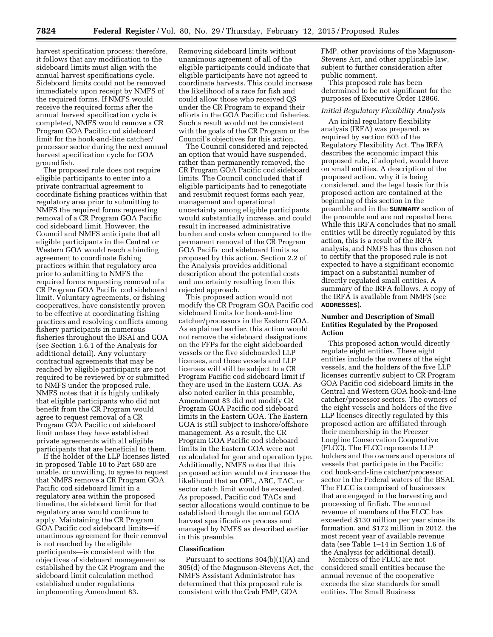harvest specification process; therefore, it follows that any modification to the sideboard limits must align with the annual harvest specifications cycle. Sideboard limits could not be removed immediately upon receipt by NMFS of the required forms. If NMFS would receive the required forms after the annual harvest specification cycle is completed, NMFS would remove a CR Program GOA Pacific cod sideboard limit for the hook-and-line catcher/ processor sector during the next annual harvest specification cycle for GOA groundfish.

The proposed rule does not require eligible participants to enter into a private contractual agreement to coordinate fishing practices within that regulatory area prior to submitting to NMFS the required forms requesting removal of a CR Program GOA Pacific cod sideboard limit. However, the Council and NMFS anticipate that all eligible participants in the Central or Western GOA would reach a binding agreement to coordinate fishing practices within that regulatory area prior to submitting to NMFS the required forms requesting removal of a CR Program GOA Pacific cod sideboard limit. Voluntary agreements, or fishing cooperatives, have consistently proven to be effective at coordinating fishing practices and resolving conflicts among fishery participants in numerous fisheries throughout the BSAI and GOA (see Section 1.6.1 of the Analysis for additional detail). Any voluntary contractual agreements that may be reached by eligible participants are not required to be reviewed by or submitted to NMFS under the proposed rule. NMFS notes that it is highly unlikely that eligible participants who did not benefit from the CR Program would agree to request removal of a CR Program GOA Pacific cod sideboard limit unless they have established private agreements with all eligible participants that are beneficial to them.

If the holder of the LLP licenses listed in proposed Table 10 to Part 680 are unable, or unwilling, to agree to request that NMFS remove a CR Program GOA Pacific cod sideboard limit in a regulatory area within the proposed timeline, the sideboard limit for that regulatory area would continue to apply. Maintaining the CR Program GOA Pacific cod sideboard limits—if unanimous agreement for their removal is not reached by the eligible participants—is consistent with the objectives of sideboard management as established by the CR Program and the sideboard limit calculation method established under regulations implementing Amendment 83.

Removing sideboard limits without unanimous agreement of all of the eligible participants could indicate that eligible participants have not agreed to coordinate harvests. This could increase the likelihood of a race for fish and could allow those who received QS under the CR Program to expand their efforts in the GOA Pacific cod fisheries. Such a result would not be consistent with the goals of the CR Program or the Council's objectives for this action.

The Council considered and rejected an option that would have suspended, rather than permanently removed, the CR Program GOA Pacific cod sideboard limits. The Council concluded that if eligible participants had to renegotiate and resubmit request forms each year, management and operational uncertainty among eligible participants would substantially increase, and could result in increased administrative burden and costs when compared to the permanent removal of the CR Program GOA Pacific cod sideboard limits as proposed by this action. Section 2.2 of the Analysis provides additional description about the potential costs and uncertainty resulting from this rejected approach.

This proposed action would not modify the CR Program GOA Pacific cod sideboard limits for hook-and-line catcher/processors in the Eastern GOA. As explained earlier, this action would not remove the sideboard designations on the FFPs for the eight sideboarded vessels or the five sideboarded LLP licenses, and these vessels and LLP licenses will still be subject to a CR Program Pacific cod sideboard limit if they are used in the Eastern GOA. As also noted earlier in this preamble, Amendment 83 did not modify CR Program GOA Pacific cod sideboard limits in the Eastern GOA. The Eastern GOA is still subject to inshore/offshore management. As a result, the CR Program GOA Pacific cod sideboard limits in the Eastern GOA were not recalculated for gear and operation type. Additionally, NMFS notes that this proposed action would not increase the likelihood that an OFL, ABC, TAC, or sector catch limit would be exceeded. As proposed, Pacific cod TACs and sector allocations would continue to be established through the annual GOA harvest specifications process and managed by NMFS as described earlier in this preamble.

### **Classification**

Pursuant to sections 304(b)(1)(A) and 305(d) of the Magnuson-Stevens Act, the NMFS Assistant Administrator has determined that this proposed rule is consistent with the Crab FMP, GOA

FMP, other provisions of the Magnuson-Stevens Act, and other applicable law, subject to further consideration after public comment.

This proposed rule has been determined to be not significant for the purposes of Executive Order 12866.

#### *Initial Regulatory Flexibility Analysis*

An initial regulatory flexibility analysis (IRFA) was prepared, as required by section 603 of the Regulatory Flexibility Act. The IRFA describes the economic impact this proposed rule, if adopted, would have on small entities. A description of the proposed action, why it is being considered, and the legal basis for this proposed action are contained at the beginning of this section in the preamble and in the **SUMMARY** section of the preamble and are not repeated here. While this IRFA concludes that no small entities will be directly regulated by this action, this is a result of the IRFA analysis, and NMFS has thus chosen not to certify that the proposed rule is not expected to have a significant economic impact on a substantial number of directly regulated small entities. A summary of the IRFA follows. A copy of the IRFA is available from NMFS (see **ADDRESSES**).

## **Number and Description of Small Entities Regulated by the Proposed Action**

This proposed action would directly regulate eight entities. These eight entities include the owners of the eight vessels, and the holders of the five LLP licenses currently subject to CR Program GOA Pacific cod sideboard limits in the Central and Western GOA hook-and-line catcher/processor sectors. The owners of the eight vessels and holders of the five LLP licenses directly regulated by this proposed action are affiliated through their membership in the Freezer Longline Conservation Cooperative (FLCC). The FLCC represents LLP holders and the owners and operators of vessels that participate in the Pacific cod hook-and-line catcher/processor sector in the Federal waters of the BSAI. The FLCC is comprised of businesses that are engaged in the harvesting and processing of finfish. The annual revenue of members of the FLCC has exceeded \$130 million per year since its formation, and \$172 million in 2012, the most recent year of available revenue data (see Table 1–14 in Section 1.6 of the Analysis for additional detail).

Members of the FLCC are not considered small entities because the annual revenue of the cooperative exceeds the size standards for small entities. The Small Business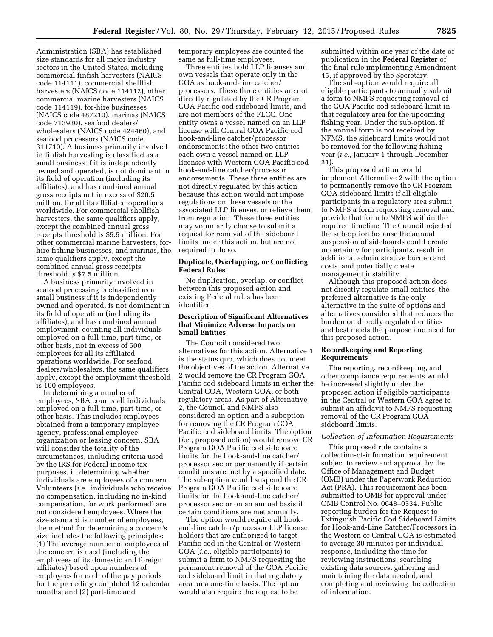Administration (SBA) has established size standards for all major industry sectors in the United States, including commercial finfish harvesters (NAICS code 114111), commercial shellfish harvesters (NAICS code 114112), other commercial marine harvesters (NAICS code 114119), for-hire businesses (NAICS code 487210), marinas (NAICS code 713930), seafood dealers/ wholesalers (NAICS code 424460), and seafood processors (NAICS code 311710). A business primarily involved in finfish harvesting is classified as a small business if it is independently owned and operated, is not dominant in its field of operation (including its affiliates), and has combined annual gross receipts not in excess of \$20.5 million, for all its affiliated operations worldwide. For commercial shellfish harvesters, the same qualifiers apply, except the combined annual gross receipts threshold is \$5.5 million. For other commercial marine harvesters, forhire fishing businesses, and marinas, the same qualifiers apply, except the combined annual gross receipts threshold is \$7.5 million.

A business primarily involved in seafood processing is classified as a small business if it is independently owned and operated, is not dominant in its field of operation (including its affiliates), and has combined annual employment, counting all individuals employed on a full-time, part-time, or other basis, not in excess of 500 employees for all its affiliated operations worldwide. For seafood dealers/wholesalers, the same qualifiers apply, except the employment threshold is 100 employees.

In determining a number of employees, SBA counts all individuals employed on a full-time, part-time, or other basis. This includes employees obtained from a temporary employee agency, professional employee organization or leasing concern. SBA will consider the totality of the circumstances, including criteria used by the IRS for Federal income tax purposes, in determining whether individuals are employees of a concern. Volunteers (*i.e.,* individuals who receive no compensation, including no in-kind compensation, for work performed) are not considered employees. Where the size standard is number of employees, the method for determining a concern's size includes the following principles: (1) The average number of employees of the concern is used (including the employees of its domestic and foreign affiliates) based upon numbers of employees for each of the pay periods for the preceding completed 12 calendar months; and (2) part-time and

temporary employees are counted the same as full-time employees.

Three entities hold LLP licenses and own vessels that operate only in the GOA as hook-and-line catcher/ processors. These three entities are not directly regulated by the CR Program GOA Pacific cod sideboard limits, and are not members of the FLCC. One entity owns a vessel named on an LLP license with Central GOA Pacific cod hook-and-line catcher/processor endorsements; the other two entities each own a vessel named on LLP licenses with Western GOA Pacific cod hook-and-line catcher/processor endorsements. These three entities are not directly regulated by this action because this action would not impose regulations on these vessels or the associated LLP licenses, or relieve them from regulation. These three entities may voluntarily choose to submit a request for removal of the sideboard limits under this action, but are not required to do so.

## **Duplicate, Overlapping, or Conflicting Federal Rules**

No duplication, overlap, or conflict between this proposed action and existing Federal rules has been identified.

### **Description of Significant Alternatives that Minimize Adverse Impacts on Small Entities**

The Council considered two alternatives for this action. Alternative 1 is the status quo, which does not meet the objectives of the action. Alternative 2 would remove the CR Program GOA Pacific cod sideboard limits in either the Central GOA, Western GOA, or both regulatory areas. As part of Alternative 2, the Council and NMFS also considered an option and a suboption for removing the CR Program GOA Pacific cod sideboard limits. The option (*i.e.,* proposed action) would remove CR Program GOA Pacific cod sideboard limits for the hook-and-line catcher/ processor sector permanently if certain conditions are met by a specified date. The sub-option would suspend the CR Program GOA Pacific cod sideboard limits for the hook-and-line catcher/ processor sector on an annual basis if certain conditions are met annually.

The option would require all hookand-line catcher/processor LLP license holders that are authorized to target Pacific cod in the Central or Western GOA (*i.e.,* eligible participants) to submit a form to NMFS requesting the permanent removal of the GOA Pacific cod sideboard limit in that regulatory area on a one-time basis. The option would also require the request to be

submitted within one year of the date of publication in the **Federal Register** of the final rule implementing Amendment 45, if approved by the Secretary.

The sub-option would require all eligible participants to annually submit a form to NMFS requesting removal of the GOA Pacific cod sideboard limit in that regulatory area for the upcoming fishing year. Under the sub-option, if the annual form is not received by NFMS, the sideboard limits would not be removed for the following fishing year (*i.e.,* January 1 through December 31).

This proposed action would implement Alternative 2 with the option to permanently remove the CR Program GOA sideboard limits if all eligible participants in a regulatory area submit to NMFS a form requesting removal and provide that form to NMFS within the required timeline. The Council rejected the sub-option because the annual suspension of sideboards could create uncertainty for participants, result in additional administrative burden and costs, and potentially create management instability.

Although this proposed action does not directly regulate small entities, the preferred alternative is the only alternative in the suite of options and alternatives considered that reduces the burden on directly regulated entities and best meets the purpose and need for this proposed action.

### **Recordkeeping and Reporting Requirements**

The reporting, recordkeeping, and other compliance requirements would be increased slightly under the proposed action if eligible participants in the Central or Western GOA agree to submit an affidavit to NMFS requesting removal of the CR Program GOA sideboard limits.

### *Collection-of-Information Requirements*

This proposed rule contains a collection-of-information requirement subject to review and approval by the Office of Management and Budget (OMB) under the Paperwork Reduction Act (PRA). This requirement has been submitted to OMB for approval under OMB Control No. 0648–0334. Public reporting burden for the Request to Extinguish Pacific Cod Sideboard Limits for Hook-and-Line Catcher/Processors in the Western or Central GOA is estimated to average 30 minutes per individual response, including the time for reviewing instructions, searching existing data sources, gathering and maintaining the data needed, and completing and reviewing the collection of information.